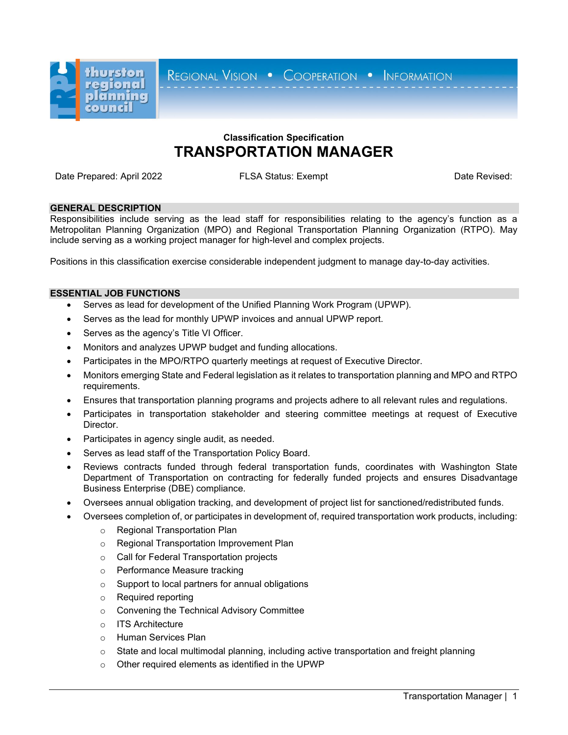

REGIONAL VISION . COOPERATION . INFORMATION

# **Classification Specification TRANSPORTATION MANAGER**

Date Prepared: April 2022 **FLSA Status: Exempt** Date Revised: Date Revised:

## **GENERAL DESCRIPTION**

Responsibilities include serving as the lead staff for responsibilities relating to the agency's function as a Metropolitan Planning Organization (MPO) and Regional Transportation Planning Organization (RTPO). May include serving as a working project manager for high-level and complex projects.

Positions in this classification exercise considerable independent judgment to manage day-to-day activities.

## **ESSENTIAL JOB FUNCTIONS**

- Serves as lead for development of the Unified Planning Work Program (UPWP).
- Serves as the lead for monthly UPWP invoices and annual UPWP report.
- Serves as the agency's Title VI Officer.
- Monitors and analyzes UPWP budget and funding allocations.
- Participates in the MPO/RTPO quarterly meetings at request of Executive Director.
- Monitors emerging State and Federal legislation as it relates to transportation planning and MPO and RTPO requirements.
- Ensures that transportation planning programs and projects adhere to all relevant rules and regulations.
- Participates in transportation stakeholder and steering committee meetings at request of Executive Director.
- Participates in agency single audit, as needed.
- Serves as lead staff of the Transportation Policy Board.
- Reviews contracts funded through federal transportation funds, coordinates with Washington State Department of Transportation on contracting for federally funded projects and ensures Disadvantage Business Enterprise (DBE) compliance.
- Oversees annual obligation tracking, and development of project list for sanctioned/redistributed funds.
	- Oversees completion of, or participates in development of, required transportation work products, including:
		- o Regional Transportation Plan
		- o Regional Transportation Improvement Plan
		- o Call for Federal Transportation projects
		- o Performance Measure tracking
		- o Support to local partners for annual obligations
		- o Required reporting
		- o Convening the Technical Advisory Committee
		- o ITS Architecture
		- o Human Services Plan
		- $\circ$  State and local multimodal planning, including active transportation and freight planning
		- o Other required elements as identified in the UPWP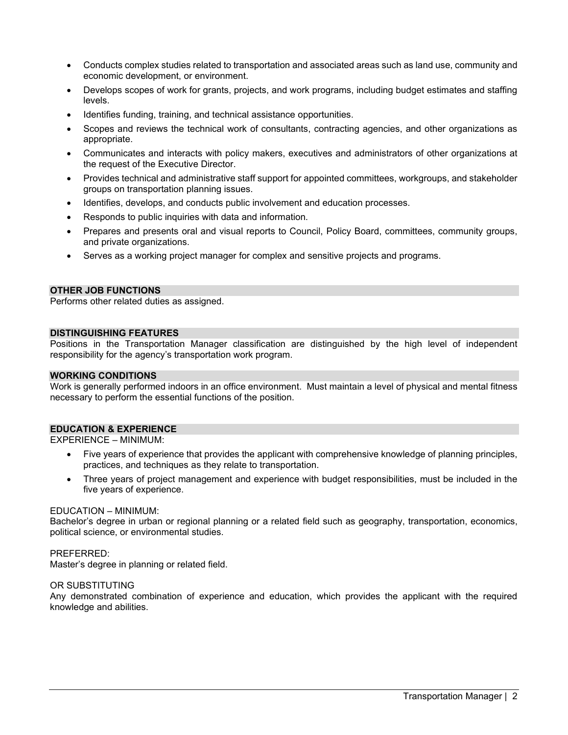- Conducts complex studies related to transportation and associated areas such as land use, community and economic development, or environment.
- Develops scopes of work for grants, projects, and work programs, including budget estimates and staffing levels.
- Identifies funding, training, and technical assistance opportunities.
- Scopes and reviews the technical work of consultants, contracting agencies, and other organizations as appropriate.
- Communicates and interacts with policy makers, executives and administrators of other organizations at the request of the Executive Director.
- Provides technical and administrative staff support for appointed committees, workgroups, and stakeholder groups on transportation planning issues.
- Identifies, develops, and conducts public involvement and education processes.
- Responds to public inquiries with data and information.
- Prepares and presents oral and visual reports to Council, Policy Board, committees, community groups, and private organizations.
- Serves as a working project manager for complex and sensitive projects and programs.

## **OTHER JOB FUNCTIONS**

Performs other related duties as assigned.

#### **DISTINGUISHING FEATURES**

Positions in the Transportation Manager classification are distinguished by the high level of independent responsibility for the agency's transportation work program.

#### **WORKING CONDITIONS**

Work is generally performed indoors in an office environment. Must maintain a level of physical and mental fitness necessary to perform the essential functions of the position.

#### **EDUCATION & EXPERIENCE**

EXPERIENCE – MINIMUM:

- Five years of experience that provides the applicant with comprehensive knowledge of planning principles, practices, and techniques as they relate to transportation.
- Three years of project management and experience with budget responsibilities, must be included in the five years of experience.

#### EDUCATION – MINIMUM:

Bachelor's degree in urban or regional planning or a related field such as geography, transportation, economics, political science, or environmental studies.

#### PREFERRED:

Master's degree in planning or related field.

#### OR SUBSTITUTING

Any demonstrated combination of experience and education, which provides the applicant with the required knowledge and abilities.